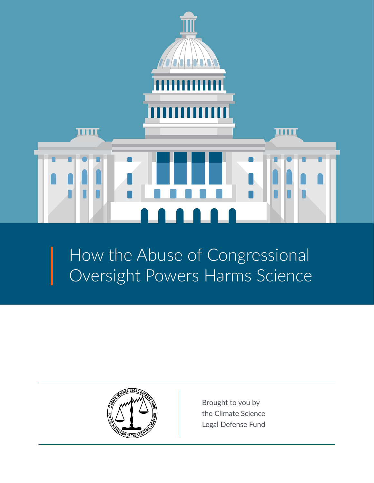

# How the Abuse of Congressional Oversight Powers Harms Science



Brought to you by the Climate Science Legal Defense Fund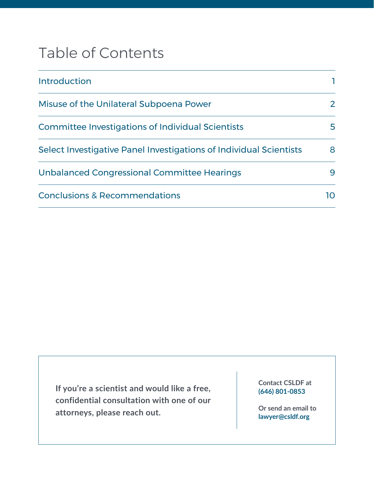## Table of Contents

| <b>Introduction</b>                                                                                 |        |
|-----------------------------------------------------------------------------------------------------|--------|
| Misuse of the Unilateral Subpoena Power<br><b>Committee Investigations of Individual Scientists</b> | 2<br>5 |
|                                                                                                     |        |
| Unbalanced Congressional Committee Hearings                                                         | 9      |
| <b>Conclusions &amp; Recommendations</b>                                                            |        |

**If you're a scientist and would like a free, confidential consultation with one of our attorneys, please reach out.**

**Contact CSLDF at (646) 801-0853**

**Or send an email to [lawyer@csldf.org](mailto:lawyer%40csldf.org?subject=)**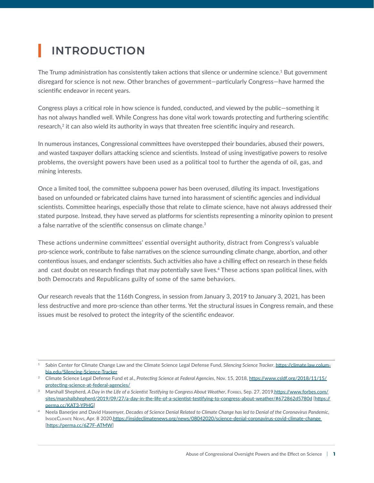## <span id="page-2-0"></span>INTRODUCTION

The Trump administration has consistently taken actions that silence or undermine science.<sup>1</sup> But government disregard for science is not new. Other branches of government—particularly Congress—have harmed the scientific endeavor in recent years.

Congress plays a critical role in how science is funded, conducted, and viewed by the public—something it has not always handled well. While Congress has done vital work towards protecting and furthering scientific research,<sup>2</sup> it can also wield its authority in ways that threaten free scientific inquiry and research.

In numerous instances, Congressional committees have overstepped their boundaries, abused their powers, and wasted taxpayer dollars attacking science and scientists. Instead of using investigative powers to resolve problems, the oversight powers have been used as a political tool to further the agenda of oil, gas, and mining interests.

Once a limited tool, the committee subpoena power has been overused, diluting its impact. Investigations based on unfounded or fabricated claims have turned into harassment of scientific agencies and individual scientists. Committee hearings, especially those that relate to climate science, have not always addressed their stated purpose. Instead, they have served as platforms for scientists representing a minority opinion to present a false narrative of the scientific consensus on climate change.<sup>3</sup>

These actions undermine committees' essential oversight authority, distract from Congress's valuable pro-science work, contribute to false narratives on the science surrounding climate change, abortion, and other contentious issues, and endanger scientists. Such activities also have a chilling effect on research in these fields and cast doubt on research findings that may potentially save lives.4 These actions span political lines, with both Democrats and Republicans guilty of some of the same behaviors.

Our research reveals that the 116th Congress, in session from January 3, 2019 to January 3, 2021, has been less destructive and more pro-science than other terms. Yet the structural issues in Congress remain, and these issues must be resolved to protect the integrity of the scientific endeavor.

<sup>1</sup> Sabin Center for Climate Change Law and the Climate Science Legal Defense Fund, *Silencing Science Tracker*, [https://climate.law.colum](https://climate.law.columbia.edu/Silencing-Science-Tracker)[bia.edu/Silencing-Science-Tracker](https://climate.law.columbia.edu/Silencing-Science-Tracker)

<sup>2</sup> Climate Science Legal Defense Fund et al., *Protecting Science at Federal Agencies*, Nov. 15, 2018, [https://www.csldf.org/2018/11/15/](https://www.csldf.org/2018/11/15/protecting-science-at-federal-agencies/) [protecting-science-at-federal-agencies/](https://www.csldf.org/2018/11/15/protecting-science-at-federal-agencies/)

<sup>&</sup>lt;sup>3</sup> Marshall Shepherd, *A Day in the Life of a Scientist Testifying to Congress About Weather*, Foress, Sep. 27, 2019, https://www.forbes.com/ sites/marshallshepherd/2019/09/27/a-day-in-the-life-of-a-scientist-testifying-to-congress-about-weather/#672862d5780d [[https://](https://perma.cc/KAT3-YPHG) [perma.cc/KAT3-YPHG](https://perma.cc/KAT3-YPHG)]

<sup>4</sup> Neela Banerjee and David Hasemyer, *Decades of Science Denial Related to Climate Change has led to Denial of the Coronavirus Pandemic*, InsideClimate News, Apr. 8 2020[,https://insideclimatenews.org/news/08042020/science-denial-coronavirus-covid-climate-change](https://insideclimatenews.org/news/08042020/science-denial-coronavirus-covid-climate-change) [<https://perma.cc/6Z7F-ATMW>]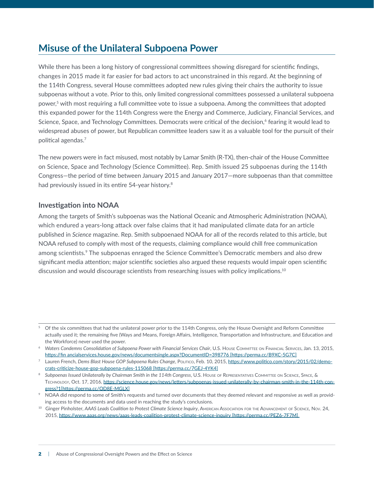## <span id="page-3-0"></span>**Misuse of the Unilateral Subpoena Power**

While there has been a long history of congressional committees showing disregard for scientific findings, changes in 2015 made it far easier for bad actors to act unconstrained in this regard. At the beginning of the 114th Congress, several House committees adopted new rules giving their chairs the authority to issue subpoenas without a vote. Prior to this, only limited congressional committees possessed a unilateral subpoena power,<sup>5</sup> with most requiring a full committee vote to issue a subpoena. Among the committees that adopted this expanded power for the 114th Congress were the Energy and Commerce, Judiciary, Financial Services, and Science, Space, and Technology Committees. Democrats were critical of the decision,<sup>6</sup> fearing it would lead to widespread abuses of power, but Republican committee leaders saw it as a valuable tool for the pursuit of their political agendas.7

The new powers were in fact misused, most notably by Lamar Smith (R-TX), then-chair of the House Committee on Science, Space and Technology (Science Committee). Rep. Smith issued 25 subpoenas during the 114th Congress—the period of time between January 2015 and January 2017—more subpoenas than that committee had previously issued in its entire 54-year history.<sup>8</sup>

#### **Investigation into NOAA**

Among the targets of Smith's subpoenas was the National Oceanic and Atmospheric Administration (NOAA), which endured a years-long attack over false claims that it had manipulated climate data for an article published in *Science* magazine. Rep. Smith subpoenaed NOAA for all of the records related to this article, but NOAA refused to comply with most of the requests, claiming compliance would chill free communication among scientists.<sup>9</sup> The subpoenas enraged the Science Committee's Democratic members and also drew significant media attention; major scientific societies also argued these requests would impair open scientific discussion and would discourage scientists from researching issues with policy implications.<sup>10</sup>

<sup>5</sup> Of the six committees that had the unilateral power prior to the 114th Congress, only the House Oversight and Reform Committee actually used it; the remaining five (Ways and Means, Foreign Affairs, Intelligence, Transportation and Infrastructure, and Education and the Workforce) never used the power.

<sup>&</sup>lt;sup>6</sup> Waters Condemns Consolidation of Subpoena Power with Financial Services Chair, U.S. HOUSE COMMITTEE ON FINANCIAL SERVICES, Jan. 13, 2015, [https://fin ancialservices.house.gov/news/documentsingle.aspx?DocumentID=398776](https://financialservices.house.gov/news/documentsingle.aspx?DocumentID=398776) [\[https://perma.cc/B9XC-5G7C](https://perma.cc/B9XC-5G7C)]

<sup>&</sup>lt;sup>7</sup> Lauren French, *Dems Blast House GOP Subpoena Rules Change*, Pourico, Feb. 10, 2015, [https://www.politico.com/story/2015/02/demo](https://www.politico.com/story/2015/02/democrats-criticize-house-gop-subpoena-rules-115068)[crats-criticize-house-gop-subpoena-rules-115068 \[](https://www.politico.com/story/2015/02/democrats-criticize-house-gop-subpoena-rules-115068)[https://perma.cc/7GEJ-4YK4\]](https://perma.cc/7GEJ-4YK4)

<sup>8</sup> Subpoenas Issued Unilaterally by Chairman Smith in the 114th Congress, U.S. House of Representatives Committee on Science, Space, & TECHNOLOGY, Oct. 17, 2016, [https://science.house.gov/news/letters/subpoenas-issued-unilaterally-by-chairman-smith-in-the-114th-con](https://science.house.gov/news/letters/subpoenas-issued-unilaterally-by-chairman-smith-in-the-114th-congress?1)[gress?1](https://science.house.gov/news/letters/subpoenas-issued-unilaterally-by-chairman-smith-in-the-114th-congress?1)[\[https://perma.cc/QD8E-MGLX\]](https://perma.cc/QD8E-MGLX)

<sup>9</sup> NOAA did respond to some of Smith's requests and turned over documents that they deemed relevant and responsive as well as providing access to the documents and data used in reaching the study's conclusions.

<sup>10</sup> Ginger Pinholster, AAAS Leads Coalition to Protest Climate Science Inquiry, AMERICAN ASSOCIATION FOR THE ADVANCEMENT OF SCIENCE, NOV. 24, 2015, <https://www.aaas.org/news/aaas-leads-coalition-protest-climate-science-inquiry> [[https://perma.cc/PEZ6-7F7M\]](https://perma.cc/PEZ6-7F7M)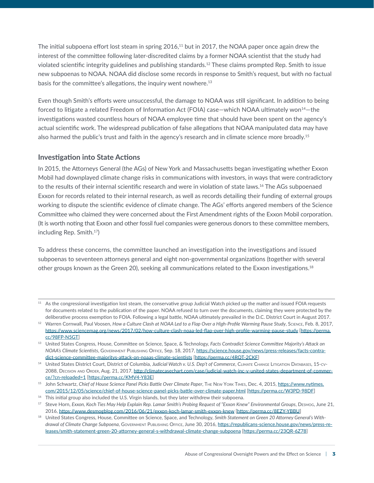The initial subpoena effort lost steam in spring 2016,<sup>11</sup> but in 2017, the NOAA paper once again drew the interest of the committee following later-discredited claims by a former NOAA scientist that the study had violated scientific integrity guidelines and publishing standards.12 These claims prompted Rep. Smith to issue new subpoenas to NOAA. NOAA did disclose some records in response to Smith's request, but with no factual basis for the committee's allegations, the inquiry went nowhere.<sup>13</sup>

Even though Smith's efforts were unsuccessful, the damage to NOAA was still significant. In addition to being forced to litigate a related Freedom of Information Act (FOIA) case—which NOAA ultimately won14—the investigations wasted countless hours of NOAA employee time that should have been spent on the agency's actual scientific work. The widespread publication of false allegations that NOAA manipulated data may have also harmed the public's trust and faith in the agency's research and in climate science more broadly.15

#### **Investigation into State Actions**

In 2015, the Attorneys General (the AGs) of New York and Massachusetts began investigating whether Exxon Mobil had downplayed climate change risks in communications with investors, in ways that were contradictory to the results of their internal scientific research and were in violation of state laws.<sup>16</sup> The AGs subpoenaed Exxon for records related to their internal research, as well as records detailing their funding of external groups working to dispute the scientific evidence of climate change. The AGs' efforts angered members of the Science Committee who claimed they were concerned about the First Amendment rights of the Exxon Mobil corporation. (It is worth noting that Exxon and other fossil fuel companies were generous donors to these committee members, including Rep. Smith.17)

To address these concerns, the committee launched an investigation into the investigations and issued subpoenas to seventeen attorneys general and eight non-governmental organizations (together with several other groups known as the Green 20), seeking all communications related to the Exxon investigations.18

<sup>11</sup> As the congressional investigation lost steam, the conservative group Judicial Watch picked up the matter and issued FOIA requests for documents related to the publication of the paper. NOAA refused to turn over the documents, claiming they were protected by the deliberative process exemption to FOIA. Following a legal battle, NOAA ultimately prevailed in the D.C. District Court in August 2017.

<sup>&</sup>lt;sup>12</sup> Warren Cornwall, Paul Voosen, How a Culture Clash at NOAA Led to a Flap Over a High-Profile Warming Pause Study, SCIENCE, Feb. 8, 2017, <https://www.sciencemag.org/news/2017/02/how-culture-clash-noaa-led-flap-over-high-profile-warming-pause-study> [[https://perma.](https://perma.cc/98FP-N5GT) [cc/98FP-N5GT](https://perma.cc/98FP-N5GT)]

<sup>13</sup> United States Congress, House, Committee on Science, Space, & Technology, *Facts Contradict Science Committee Majority's Attack on NOAA's Climate Scientists*, Government Publishing Office, Sep. 18, 2017, [https://science.house.gov/news/press-releases/facts-contra](https://science.house.gov/news/press-releases/facts-contradict-science-committee-majoritys-attack-on-noaas-climate-scientists)[dict-science-committee-majoritys-attack-on-noaas-climate-scientists](https://science.house.gov/news/press-releases/facts-contradict-science-committee-majoritys-attack-on-noaas-climate-scientists) [<https://perma.cc/4RQT-2CKF>]

<sup>14</sup> United States District Court, District of Columbia, Judicial Watch v. U.S. Dep't of Commerce, CLIMATE CHANGE LITIGATION DATABASES, 15-cv2088, DECISION AND ORDER, Aug. 21, 2017, [http://climatecasechart.com/case/judicial-watch-inc-v-united-states-department-of-commer](http://climatecasechart.com/case/judicial-watch-inc-v-united-states-department-of-commerce/?cn-reloaded=1)[ce/?cn-reloaded=1](http://climatecasechart.com/case/judicial-watch-inc-v-united-states-department-of-commerce/?cn-reloaded=1) [<https://perma.cc/KMV4-Y83E>]

<sup>15</sup> John Schwartz, *Chief of House Science Panel Picks Battle Over Climate Paper*, The New York Times, Dec. 4, 2015, [https://www.nytimes.](https://www.nytimes.com/2015/12/05/science/chief-of-house-science-panel-picks-battle-over-climate-paper.html) [com/2015/12/05/science/chief-of-house-science-panel-picks-battle-over-climate-paper.html](https://www.nytimes.com/2015/12/05/science/chief-of-house-science-panel-picks-battle-over-climate-paper.html) [<https://perma.cc/W3PD-98DF>]

<sup>&</sup>lt;sup>16</sup> This initial group also included the U.S. Virgin Islands, but they later withdrew their subpoena.

<sup>17</sup> Steve Horn, *Exxon, Koch Ties May Help Explain Rep. Lamar Smith's Probing Request of "Exxon Knew" Environmental Groups*, Desmog, June 21, 2016, <https://www.desmogblog.com/2016/06/21/exxon-koch-lamar-smith-exxon-knew> [<https://perma.cc/8EZY-YBBU>]

<sup>&</sup>lt;sup>18</sup> United States Congress, House, Committee on Science, Space, and Technology, Smith Statement on Green 20 Attorney General's With*drawal of Climate Change Subpoena*, Government Publishing Office, June 30, 2016, [https://republicans-science.house.gov/news/press-re](https://republicans-science.house.gov/news/press-releases/smith-statement-green-20-attorney-general-s-withdrawal-climate-change-subpoena)[leases/smith-statement-green-20-attorney-general-s-withdrawal-climate-change-subpoena](https://republicans-science.house.gov/news/press-releases/smith-statement-green-20-attorney-general-s-withdrawal-climate-change-subpoena) [<https://perma.cc/23QR-6Z78>]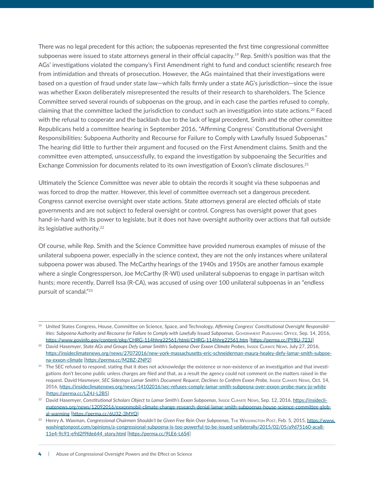There was no legal precedent for this action; the subpoenas represented the first time congressional committee subpoenas were issued to state attorneys general in their official capacity.<sup>19</sup> Rep. Smith's position was that the AGs' investigations violated the company's First Amendment right to fund and conduct scientific research free from intimidation and threats of prosecution. However, the AGs maintained that their investigations were based on a question of fraud under state law—which falls firmly under a state AG's jurisdiction—since the issue was whether Exxon deliberately misrepresented the results of their research to shareholders. The Science Committee served several rounds of subpoenas on the group, and in each case the parties refused to comply, claiming that the committee lacked the jurisdiction to conduct such an investigation into state actions.<sup>20</sup> Faced with the refusal to cooperate and the backlash due to the lack of legal precedent, Smith and the other committee Republicans held a committee hearing in September 2016, "Affirming Congress' Constitutional Oversight Responsibilities: Subpoena Authority and Recourse for Failure to Comply with Lawfully Issued Subpoenas." The hearing did little to further their argument and focused on the First Amendment claims. Smith and the committee even attempted, unsuccessfully, to expand the investigation by subpoenaing the Securities and Exchange Commission for documents related to its own investigation of Exxon's climate disclosures.<sup>21</sup>

Ultimately the Science Committee was never able to obtain the records it sought via these subpoenas and was forced to drop the matter. However, this level of committee overreach set a dangerous precedent. Congress cannot exercise oversight over state actions. State attorneys general are elected officials of state governments and are not subject to federal oversight or control. Congress has oversight power that goes hand-in-hand with its power to legislate, but it does not have oversight authority over actions that fall outside its legislative authority.<sup>22</sup>

Of course, while Rep. Smith and the Science Committee have provided numerous examples of misuse of the unilateral subpoena power, especially in the science context, they are not the only instances where unilateral subpoena power was abused. The McCarthy hearings of the 1940s and 1950s are another famous example where a single Congressperson, Joe McCarthy (R-WI) used unilateral subpoenas to engage in partisan witch hunts; more recently, Darrell Issa (R-CA), was accused of using over 100 unilateral subpoenas in an "endless pursuit of scandal."<sup>23</sup>

<sup>&</sup>lt;sup>19</sup> United States Congress, House, Committee on Science, Space, and Technology, Affirming Congress' Constitutional Oversight Responsibil*ities: Subpoena Authority and Recourse for Failure to Comply with Lawfully Issued Subpoenas*, Government Publishing Office, Sep. 14, 2016, <https://www.govinfo.gov/content/pkg/CHRG-114hhrg22561/html/CHRG-114hhrg22561.htm> [<https://perma.cc/PY8U-723J>]

<sup>&</sup>lt;sup>20</sup> David Hasemyer, *State AGs and Groups Defy Lamar Smith's Subpoena Over Exxon Climate Probes, Inside Climate News, July 27, 2016,* [https://insideclimatenews.org/news/27072016/new-york-massachusetts-eric-schneiderman-maura-healey-defy-lamar-smith-subpoe](https://insideclimatenews.org/news/27072016/new-york-massachusetts-eric-schneiderman-maura-healey-defy-lamar-smith-subpoena-exxon-climate)[na-exxon-climate](https://insideclimatenews.org/news/27072016/new-york-massachusetts-eric-schneiderman-maura-healey-defy-lamar-smith-subpoena-exxon-climate) [<https://perma.cc/M2BZ-ZNP2>]

<sup>&</sup>lt;sup>21</sup> The SEC refused to respond, stating that it does not acknowledge the existence or non-existence of an investigation and that investigations don't become public unless charges are filed and that, as a result the agency could not comment on the matters raised in the request. David Hasmeyer, *SEC Sidesteps Lamar Smith's Document Request, Declines to Confirm Exxon Probe*, Inside Climate News, Oct. 14, 2016,<https://insideclimatenews.org/news/14102016/sec-refuses-comply-lamar-smith-subpeona-over-exxon-probe-mary-jo-white> [<https://perma.cc/LZ4J-L2B5>]

<sup>22</sup> David Hasemyer, Constitutional Scholars Object to Lamar Smith's Exxon Subpoenas, INSIDE CLIMATE NEWS, Sep. 12, 2016, [https://insidecli](https://insideclimatenews.org/news/12092016/exxonmobil-climate-change-research-denial-lamar-smith-subpoenas-house-science-committee-global-warming)[matenews.org/news/12092016/exxonmobil-climate-change-research-denial-lamar-smith-subpoenas-house-science-committee-glob](https://insideclimatenews.org/news/12092016/exxonmobil-climate-change-research-denial-lamar-smith-subpoenas-house-science-committee-global-warming)[al-warming](https://insideclimatenews.org/news/12092016/exxonmobil-climate-change-research-denial-lamar-smith-subpoenas-house-science-committee-global-warming) [<https://perma.cc/6U32-3MYQ>]

<sup>23</sup> Henry A. Waxman, Congressional Chairmen Shouldn't be Given Free Rein Over Subpoenas, THE WASHINGTON Post, Feb. 5, 2015, [https://www.](https://www.washingtonpost.com/opinions/a-congressional-subpoena-is-too-powerful-to-be-issued-unilaterally/2015/02/05/a9d75160-aca8-11e4-9c91-e9d2f9fde644_story.html) [washingtonpost.com/opinions/a-congressional-subpoena-is-too-powerful-to-be-issued-unilaterally/2015/02/05/a9d75160-aca8-](https://www.washingtonpost.com/opinions/a-congressional-subpoena-is-too-powerful-to-be-issued-unilaterally/2015/02/05/a9d75160-aca8-11e4-9c91-e9d2f9fde644_story.html) [11e4-9c91-e9d2f9fde644\\_story.html](https://www.washingtonpost.com/opinions/a-congressional-subpoena-is-too-powerful-to-be-issued-unilaterally/2015/02/05/a9d75160-aca8-11e4-9c91-e9d2f9fde644_story.html) [<https://perma.cc/9LE6-L6S4>]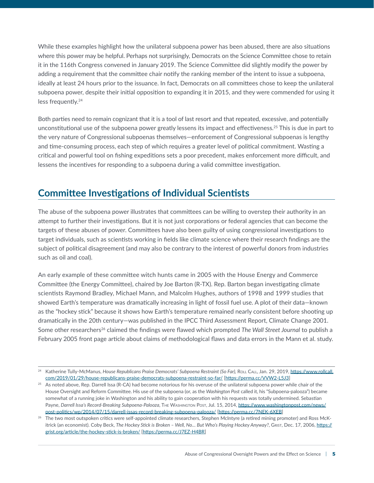<span id="page-6-0"></span>While these examples highlight how the unilateral subpoena power has been abused, there are also situations where this power may be helpful. Perhaps not surprisingly, Democrats on the Science Committee chose to retain it in the 116th Congress convened in January 2019. The Science Committee did slightly modify the power by adding a requirement that the committee chair notify the ranking member of the intent to issue a subpoena, ideally at least 24 hours prior to the issuance. In fact, Democrats on all committees chose to keep the unilateral subpoena power, despite their initial opposition to expanding it in 2015, and they were commended for using it less frequently.<sup>24</sup>

Both parties need to remain cognizant that it is a tool of last resort and that repeated, excessive, and potentially unconstitutional use of the subpoena power greatly lessens its impact and effectiveness.25 This is due in part to the very nature of Congressional subpoenas themselves—enforcement of Congressional subpoenas is lengthy and time-consuming process, each step of which requires a greater level of political commitment. Wasting a critical and powerful tool on fishing expeditions sets a poor precedent, makes enforcement more difficult, and lessens the incentives for responding to a subpoena during a valid committee investigation.

## **Committee Investigations of Individual Scientists**

The abuse of the subpoena power illustrates that committees can be willing to overstep their authority in an attempt to further their investigations. But it is not just corporations or federal agencies that can become the targets of these abuses of power. Committees have also been guilty of using congressional investigations to target individuals, such as scientists working in fields like climate science where their research findings are the subject of political disagreement (and may also be contrary to the interest of powerful donors from industries such as oil and coal).

An early example of these committee witch hunts came in 2005 with the House Energy and Commerce Committee (the Energy Committee), chaired by Joe Barton (R-TX). Rep. Barton began investigating climate scientists Raymond Bradley, Michael Mann, and Malcolm Hughes, authors of 1998 and 1999 studies that showed Earth's temperature was dramatically increasing in light of fossil fuel use. A plot of their data—known as the "hockey stick" because it shows how Earth's temperature remained nearly consistent before shooting up dramatically in the 20th century—was published in the IPCC Third Assessment Report, Climate Change 2001. Some other researchers<sup>26</sup> claimed the findings were flawed which prompted *The Wall Street Journal* to publish a February 2005 front page article about claims of methodological flaws and data errors in the Mann et al. study.

<sup>&</sup>lt;sup>24</sup> Katherine Tully-McManus, House Republicans Praise Democrats' Subpoena Restraint (So Far), ROLL CALL, Jan. 29, 2019, [https://www.rollcall.](https://www.rollcall.com/2019/01/29/house-republicans-praise-democrats-subpoena-restraint-so-far/) [com/2019/01/29/house-republicans-praise-democrats-subpoena-restraint-so-far/](https://www.rollcall.com/2019/01/29/house-republicans-praise-democrats-subpoena-restraint-so-far/) [<https://perma.cc/VVW2-L5J3>]

<sup>&</sup>lt;sup>25</sup> As noted above, Rep. Darrell Issa (R-CA) had become notorious for his overuse of the unilateral subpoena power while chair of the House Oversight and Reform Committee. His use of the subpoena (or, as the *Washington Post* called it, his "Subpoena-palooza") became somewhat of a running joke in Washington and his ability to gain cooperation with his requests was totally undermined. Sebastian Payne, *Darrell Issa's Record-Breaking Subpoena-Palooza*, THE WASHINGTON POST, Jul. 15, 2014, [https://www.washingtonpost.com/news/](https://www.washingtonpost.com/news/post-politics/wp/2014/07/15/darrell-issas-record-breaking-subpoena-palooza/) [post-politics/wp/2014/07/15/darrell-issas-record-breaking-subpoena-palooza/](https://www.washingtonpost.com/news/post-politics/wp/2014/07/15/darrell-issas-record-breaking-subpoena-palooza/) [<https://perma.cc/7NEK-6XEB>]

<sup>&</sup>lt;sup>26</sup> The two most outspoken critics were self-appointed climate researchers, Stephen McIntyre (a retired mining promoter) and Ross McKitrick (an economist). Coby Beck, *The Hockey Stick is Broken - Well, No... But Who's Playing Hockey Anyway?*, GRIST, Dec. 17, 2006, [https://](https://grist.org/article/the-hockey-stick-is-broken/) [grist.org/article/the-hockey-stick-is-broken/](https://grist.org/article/the-hockey-stick-is-broken/) [<https://perma.cc/J7EZ-H4BR>]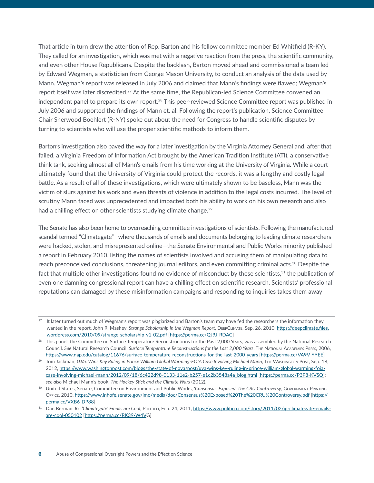That article in turn drew the attention of Rep. Barton and his fellow committee member Ed Whitfield (R-KY). They called for an investigation, which was met with a negative reaction from the press, the scientific community, and even other House Republicans. Despite the backlash, Barton moved ahead and commissioned a team led by Edward Wegman, a statistician from George Mason University, to conduct an analysis of the data used by Mann. Wegman's report was released in July 2006 and claimed that Mann's findings were flawed; Wegman's report itself was later discredited.<sup>27</sup> At the same time, the Republican-led Science Committee convened an independent panel to prepare its own report.28 This peer-reviewed Science Committee report was published in July 2006 and supported the findings of Mann et. al. Following the report's publication, Science Committee Chair Sherwood Boehlert (R-NY) spoke out about the need for Congress to handle scientific disputes by turning to scientists who will use the proper scientific methods to inform them.

Barton's investigation also paved the way for a later investigation by the Virginia Attorney General and, after that failed, a Virginia Freedom of Information Act brought by the American Tradition Institute (ATI), a conservative think tank, seeking almost all of Mann's emails from his time working at the University of Virginia. While a court ultimately found that the University of Virginia could protect the records, it was a lengthy and costly legal battle. As a result of all of these investigations, which were ultimately shown to be baseless, Mann was the victim of slurs against his work and even threats of violence in addition to the legal costs incurred. The level of scrutiny Mann faced was unprecedented and impacted both his ability to work on his own research and also had a chilling effect on other scientists studying climate change.<sup>29</sup>

The Senate has also been home to overreaching committee investigations of scientists. Following the manufactured scandal termed "Climategate"—where thousands of emails and documents belonging to leading climate researchers were hacked, stolen, and misrepresented online—the Senate Environmental and Public Works minority published a report in February 2010, listing the names of scientists involved and accusing them of manipulating data to reach preconceived conclusions, threatening journal editors, and even committing criminal acts.<sup>30</sup> Despite the fact that multiple other investigations found no evidence of misconduct by these scientists,<sup>31</sup> the publication of even one damning congressional report can have a chilling effect on scientific research. Scientists' professional reputations can damaged by these misinformation campaigns and responding to inquiries takes them away

<sup>&</sup>lt;sup>27</sup> It later turned out much of Wegman's report was plagiarized and Barton's team may have fed the researchers the information they wanted in the report. John R. Mashey, *Strange Scholarship in the Wegman Report*, DEEPCLIMATE, Sep. 26, 2010, [https://deepclimate.files.](https://deepclimate.files.wordpress.com/2010/09/strange-scholarship-v1-02.pdf) [wordpress.com/2010/09/strange-scholarship-v1-02.pdf](https://deepclimate.files.wordpress.com/2010/09/strange-scholarship-v1-02.pdf) [<https://perma.cc/QJ9J-RDAC>]

<sup>&</sup>lt;sup>28</sup> This panel, the Committee on Surface Temperature Reconstructions for the Past 2,000 Years, was assembled by the National Research Council. See Natural Research Council, Surface Temperature Reconstructions for the Last 2,000 Years, THE NATIONAL ACADEMIES PRESS, 2006, <https://www.nap.edu/catalog/11676/surface-temperature-reconstructions-for-the-last-2000-years> [<https://perma.cc/VA9V-YYEE>]

<sup>29</sup> Tom Jackman, U.Va. Wins Key Ruling in Prince William Global Warming-FOIA Case Involving Michael Mann, THE WASHINGTON Post, Sep. 18, 2012, [https://www.washingtonpost.com/blogs/the-state-of-nova/post/uva-wins-key-ruling-in-prince-william-global-warming-foia](https://www.washingtonpost.com/blogs/the-state-of-nova/post/uva-wins-key-ruling-in-prince-william-global-warming-foia-case-involving-michael-mann/2012/09/18/6c422d98-0133-11e2-b257-e1c2b3548a4a_blog.html)[case-involving-michael-mann/2012/09/18/6c422d98-0133-11e2-b257-e1c2b3548a4a\\_blog.html](https://www.washingtonpost.com/blogs/the-state-of-nova/post/uva-wins-key-ruling-in-prince-william-global-warming-foia-case-involving-michael-mann/2012/09/18/6c422d98-0133-11e2-b257-e1c2b3548a4a_blog.html) [<https://perma.cc/P3P8-KVSQ>]; *see also* Michael Mann's book, *The Hockey Stick and the Climate Wars* (2012).

<sup>30</sup> United States, Senate, Committee on Environment and Public Works, *'Consensus' Exposed: The CRU Controversy*, Government Printing Office, 2010, <https://www.inhofe.senate.gov/imo/media/doc/Consensus%20Exposed%20The%20CRU%20Controversy.pdf> [[https://](https://perma.cc/VXB6-DP88) [perma.cc/VXB6-DP88](https://perma.cc/VXB6-DP88)]

<sup>31</sup> Dan Berman, *IG: 'Climategate' Emails are Cool*, Pourico, Feb. 24, 2011, [https://www.politico.com/story/2011/02/ig-climategate-emails](https://www.politico.com/story/2011/02/ig-climategate-emails-are-cool-050102)[are-cool-050102](https://www.politico.com/story/2011/02/ig-climategate-emails-are-cool-050102) [<https://perma.cc/RK39-W4VG>]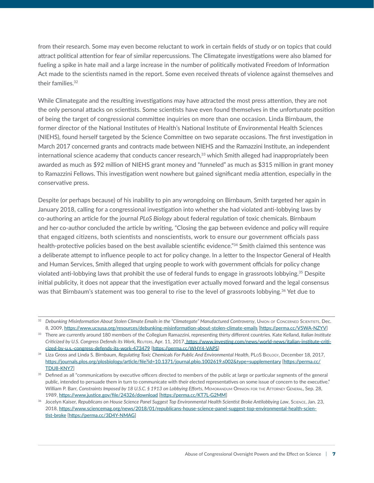from their research. Some may even become reluctant to work in certain fields of study or on topics that could attract political attention for fear of similar repercussions. The Climategate investigations were also blamed for fueling a spike in hate mail and a large increase in the number of politically motivated Freedom of Information Act made to the scientists named in the report. Some even received threats of violence against themselves and their families.<sup>32</sup>

While Climategate and the resulting investigations may have attracted the most press attention, they are not the only personal attacks on scientists. Some scientists have even found themselves in the unfortunate position of being the target of congressional committee inquiries on more than one occasion. Linda Birnbaum, the former director of the National Institutes of Health's National Institute of Environmental Health Sciences (NIEHS), found herself targeted by the Science Committee on two separate occasions. The first investigation in March 2017 concerned grants and contracts made between NIEHS and the Ramazzini Institute, an independent international science academy that conducts cancer research,<sup>33</sup> which Smith alleged had inappropriately been awarded as much as \$92 million of NIEHS grant money and "funneled" as much as \$315 million in grant money to Ramazzini Fellows. This investigation went nowhere but gained significant media attention, especially in the conservative press.

Despite (or perhaps because) of his inability to pin any wrongdoing on Birnbaum, Smith targeted her again in January 2018, calling for a congressional investigation into whether she had violated anti-lobbying laws by co-authoring an article for the journal *PLoS Biology* about federal regulation of toxic chemicals. Birnbaum and her co-author concluded the article by writing, "Closing the gap between evidence and policy will require that engaged citizens, both scientists and nonscientists, work to ensure our government officials pass health-protective policies based on the best available scientific evidence."34 Smith claimed this sentence was a deliberate attempt to influence people to act for policy change. In a letter to the Inspector General of Health and Human Services, Smith alleged that urging people to work with government officials for policy change violated anti-lobbying laws that prohibit the use of federal funds to engage in grassroots lobbying.35 Despite initial publicity, it does not appear that the investigation ever actually moved forward and the legal consensus was that Birnbaum's statement was too general to rise to the level of grassroots lobbying.<sup>36</sup> Yet due to

<sup>32</sup> *Debunking Misinformation About Stolen Climate Emails in the "Climategate" Manufactured Controversy*, Union of Concerned Scientists, Dec. 8, 2009,<https://www.ucsusa.org/resources/debunking-misinformation-about-stolen-climate-emails> [<https://perma.cc/V5WA-NZYV>]

<sup>33</sup> There are currently around 180 members of the Collegium Ramazzini, representing thirty different countries. Kate Kelland, *Italian Institute*  Criticized by U.S. Congress Defends its Work, REUTERS, Apr. 11, 2017[, https://www.investing.com/news/world-news/italian-institute-criti](https://www.investing.com/news/world-news/italian-institute-criticized-by-u.s.-congress-defends-its-work-473479)[cized-by-u.s.-congress-defends-its-work-473479](https://www.investing.com/news/world-news/italian-institute-criticized-by-u.s.-congress-defends-its-work-473479) [<https://perma.cc/WHY4-VAPS>]

<sup>&</sup>lt;sup>34</sup> Liza Gross and Linda S. Birnbaum, Regulating Toxic Chemicals For Public And Environmental Health, PLoS BioLogy, December 18, 2017, <https://journals.plos.org/plosbiology/article/file?id=10.1371/journal.pbio.1002619.s002&type=supplementary> [[https://perma.cc/](https://perma.cc/TDU8-KNY7) [TDU8-KNY7](https://perma.cc/TDU8-KNY7)]

<sup>&</sup>lt;sup>35</sup> Defined as all "communications by executive officers directed to members of the public at large or particular segments of the general public, intended to persuade them in turn to communicate with their elected representatives on some issue of concern to the executive." William P. Barr, *Constraints Imposed by 18 U.S.C. § 1913 on Lobbying Efforts*, Memorandum Opinion for the Attorney General, Sep. 28, 1989, <https://www.justice.gov/file/24326/download> [<https://perma.cc/KT7L-G2MM>]

<sup>36</sup> Jocelyn Kaiser, Republicans on House Science Panel Suggest Top Environmental Health Scientist Broke Antilobbying Law, Science, Jan. 23, 2018, [https://www.sciencemag.org/news/2018/01/republicans-house-science-panel-suggest-top-environmental-health-scien](https://www.sciencemag.org/news/2018/01/republicans-house-science-panel-suggest-top-environmental-health-scientist-broke)[tist-broke](https://www.sciencemag.org/news/2018/01/republicans-house-science-panel-suggest-top-environmental-health-scientist-broke) [<https://perma.cc/3D4Y-NMAG>]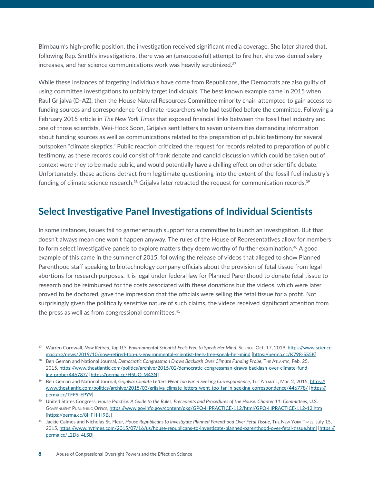<span id="page-9-0"></span>Birnbaum's high-profile position, the investigation received significant media coverage. She later shared that, following Rep. Smith's investigations, there was an (unsuccessful) attempt to fire her, she was denied salary increases, and her science communications work was heavily scrutinized.<sup>37</sup>

While these instances of targeting individuals have come from Republicans, the Democrats are also guilty of using committee investigations to unfairly target individuals. The best known example came in 2015 when Raul Grijalva (D-AZ), then the House Natural Resources Committee minority chair, attempted to gain access to funding sources and correspondence for climate researchers who had testified before the committee. Following a February 2015 article in *The New York Times* that exposed financial links between the fossil fuel industry and one of those scientists, Wei-Hock Soon, Grijalva sent letters to seven universities demanding information about funding sources as well as communications related to the preparation of public testimony for several outspoken "climate skeptics." Public reaction criticized the request for records related to preparation of public testimony, as these records could consist of frank debate and candid discussion which could be taken out of context were they to be made public, and would potentially have a chilling effect on other scientific debate. Unfortunately, these actions detract from legitimate questioning into the extent of the fossil fuel industry's funding of climate science research.<sup>38</sup> Grijalva later retracted the request for communication records.<sup>39</sup>

## **Select Investigative Panel Investigations of Individual Scientists**

In some instances, issues fail to garner enough support for a committee to launch an investigation. But that doesn't always mean one won't happen anyway. The rules of the House of Representatives allow for members to form select investigative panels to explore matters they deem worthy of further examination.<sup>40</sup> A good example of this came in the summer of 2015, following the release of videos that alleged to show Planned Parenthood staff speaking to biotechnology company officials about the provision of fetal tissue from legal abortions for research purposes. It is legal under federal law for Planned Parenthood to donate fetal tissue to research and be reimbursed for the costs associated with these donations but the videos, which were later proved to be doctored, gave the impression that the officials were selling the fetal tissue for a profit. Not surprisingly given the politically sensitive nature of such claims, the videos received significant attention from the press as well as from congressional committees. $41$ 

Warren Cornwall, *Now Retired, Top U.S. Environmental Scientist Feels Free to Speak Her Mind, Science, Oct. 17, 2019, [https://www.science](https://www.sciencemag.org/news/2019/10/now-retired-top-us-environmental-scientist-feels-free-speak-her-mind)*[mag.org/news/2019/10/now-retired-top-us-environmental-scientist-feels-free-speak-her-mind](https://www.sciencemag.org/news/2019/10/now-retired-top-us-environmental-scientist-feels-free-speak-her-mind) [<https://perma.cc/K798-SS5K>]

<sup>38</sup> Ben Geman and National Journal, *Democratic Congressman Draws Backlash Over Climate Funding Probe*, THE ATLANTIC, Feb. 25, 2015, [https://www.theatlantic.com/politics/archive/2015/02/democratic-congressman-draws-backlash-over-climate-fund](https://www.theatlantic.com/politics/archive/2015/02/democratic-congressman-draws-backlash-over-climate-funding-probe/446787/)[ing-probe/446787/](https://www.theatlantic.com/politics/archive/2015/02/democratic-congressman-draws-backlash-over-climate-funding-probe/446787/) [<https://perma.cc/H5UQ-M43N>]

<sup>39</sup> Ben Geman and National Journal, Grijalva: Climate Letters Went Too Far in Seeking Correspondence, THE ATLANTIC, Mar. 2, 2015, [https://](https://www.theatlantic.com/politics/archive/2015/03/grijalva-climate-letters-went-too-far-in-seeking-correspondence/446778/) [www.theatlantic.com/politics/archive/2015/03/grijalva-climate-letters-went-too-far-in-seeking-correspondence/446778/](https://www.theatlantic.com/politics/archive/2015/03/grijalva-climate-letters-went-too-far-in-seeking-correspondence/446778/) [[https://](https://perma.cc/TFF9-EPY9) [perma.cc/TFF9-EPY9](https://perma.cc/TFF9-EPY9)]

<sup>40</sup> United States Congress, *House Practice: A Guide to the Rules, Precedents and Procedures of the House. Chapter 11: Committees*, U.S. GOVERNMENT PUBLISHING OFFICE, <https://www.govinfo.gov/content/pkg/GPO-HPRACTICE-112/html/GPO-HPRACTICE-112-12.htm> [<https://perma.cc/8HFH-H9BJ>]

<sup>41</sup> Jackie Calmes and Nicholas St. Fleur, *House Republicans to Investigate Planned Parenthood Over Fetal Tissue*, The New York Times, July 15, 2015,<https://www.nytimes.com/2015/07/16/us/house-republicans-to-investigate-planned-parenthood-over-fetal-tissue.html> [[https://](https://perma.cc/L2D6-4LSB) [perma.cc/L2D6-4LSB](https://perma.cc/L2D6-4LSB)]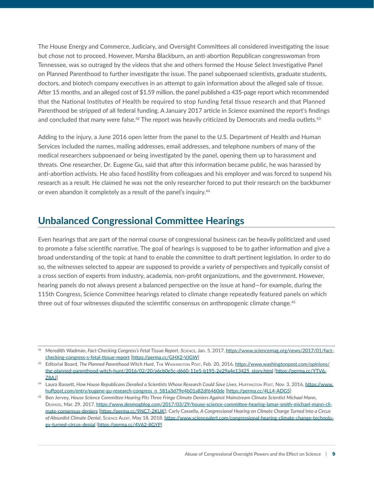<span id="page-10-0"></span>The House Energy and Commerce, Judiciary, and Oversight Committees all considered investigating the issue but chose not to proceed. However, Marsha Blackburn, an anti-abortion Republican congresswoman from Tennessee, was so outraged by the videos that she and others formed the House Select Investigative Panel on Planned Parenthood to further investigate the issue. The panel subpoenaed scientists, graduate students, doctors, and biotech company executives in an attempt to gain information about the alleged sale of tissue. After 15 months, and an alleged cost of \$1.59 million, the panel published a 435-page report which recommended that the National Institutes of Health be required to stop funding fetal tissue research and that Planned Parenthood be stripped of all federal funding. A January 2017 article in *Science* examined the report's findings and concluded that many were false. $42$  The report was heavily criticized by Democrats and media outlets. $43$ 

Adding to the injury, a June 2016 open letter from the panel to the U.S. Department of Health and Human Services included the names, mailing addresses, email addresses, and telephone numbers of many of the medical researchers subpoenaed or being investigated by the panel, opening them up to harassment and threats. One researcher, Dr. Eugene Gu, said that after this information became public, he was harassed by anti-abortion activists. He also faced hostility from colleagues and his employer and was forced to suspend his research as a result. He claimed he was not the only researcher forced to put their research on the backburner or even abandon it completely as a result of the panel's inquiry.<sup>44</sup>

### **Unbalanced Congressional Committee Hearings**

Even hearings that are part of the normal course of congressional business can be heavily politicized and used to promote a false scientific narrative. The goal of hearings is supposed to be to gather information and give a broad understanding of the topic at hand to enable the committee to draft pertinent legislation. In order to do so, the witnesses selected to appear are supposed to provide a variety of perspectives and typically consist of a cross section of experts from industry, academia, non-profit organizations, and the government. However, hearing panels do not always present a balanced perspective on the issue at hand—for example, during the 115th Congress, Science Committee hearings related to climate change repeatedly featured panels on which three out of four witnesses disputed the scientific consensus on anthropogenic climate change.<sup>45</sup>

<sup>42</sup> Meredith Wadman, Fact-Checking Congress's Fetal Tissue Report, SCIENCE, Jan. 5, 2017, [https://www.sciencemag.org/news/2017/01/fact](https://www.sciencemag.org/news/2017/01/fact-checking-congress-s-fetal-tissue-report)[checking-congress-s-fetal-tissue-report](https://www.sciencemag.org/news/2017/01/fact-checking-congress-s-fetal-tissue-report) [<https://perma.cc/GHX2-VJGW>]

<sup>43</sup> Editorial Board, *The Planned Parenthood Witch Hunt*, The Washington Post, Feb. 20, 2016, [https://www.washingtonpost.com/opinions/](https://www.washingtonpost.com/opinions/the-planned-parenthood-witch-hunt/2016/02/20/a6cb0e5c-d660-11e5-b195-2e29a4e13425_story.html) [the-planned-parenthood-witch-hunt/2016/02/20/a6cb0e5c-d660-11e5-b195-2e29a4e13425\\_story.html](https://www.washingtonpost.com/opinions/the-planned-parenthood-witch-hunt/2016/02/20/a6cb0e5c-d660-11e5-b195-2e29a4e13425_story.html) [[https://perma.cc/YTV6-](https://perma.cc/YTV6-Z8AJ) [Z8AJ](https://perma.cc/YTV6-Z8AJ)]

<sup>44</sup> Laura Bassett, How House Republicans Derailed a Scientists Whose Research Could Save Lives, HurFINGTON Post, Nov. 3, 2016, [https://www.](https://www.huffpost.com/entry/eugene-gu-research-congress_n_581a3d79e4b01a82df6460de) [huffpost.com/entry/eugene-gu-research-congress\\_n\\_581a3d79e4b01a82df6460de](https://www.huffpost.com/entry/eugene-gu-research-congress_n_581a3d79e4b01a82df6460de) [<https://perma.cc/4LL4-ADG5>]

<sup>45</sup> Ben Jervey, *House Science Committee Hearing Pits Three Fringe Climate Deniers Against Mainstream Climate Scientist Michael Mann*, Desmog, Mar. 29, 2017, [https://www.desmogblog.com/2017/03/29/house-science-committee-hearing-lamar-smith-michael-mann-cli](https://www.desmogblog.com/2017/03/29/house-science-committee-hearing-lamar-smith-michael-mann-climate-consensus-deniers)[mate-consensus-deniers](https://www.desmogblog.com/2017/03/29/house-science-committee-hearing-lamar-smith-michael-mann-climate-consensus-deniers) [<https://perma.cc/9NC7-2KUK>]; Carly Cassella, *A Congressional Hearing on Climate Change Turned Into a Circus of Absurdist Climate Denial*, Science Alert, May 18, 2018. [https://www.sciencealert.com/congressional-hearing-climate-change-technolo](https://www.sciencealert.com/congressional-hearing-climate-change-technology-turned-circus-denial)[gy-turned-circus-denial](https://www.sciencealert.com/congressional-hearing-climate-change-technology-turned-circus-denial) [<https://perma.cc/4V62-8GYP>]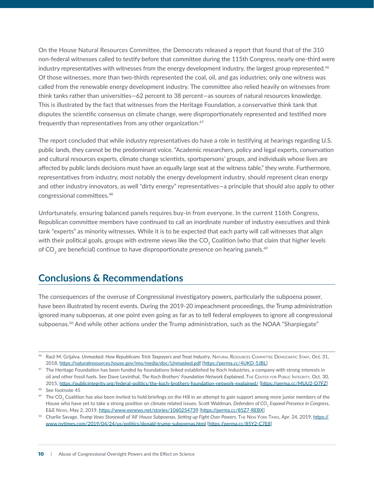<span id="page-11-0"></span>On the House Natural Resources Committee, the Democrats released a report that found that of the 310 non-federal witnesses called to testify before that committee during the 115th Congress, nearly one-third were industry representatives with witnesses from the energy development industry, the largest group represented.<sup>46</sup> Of those witnesses, more than two-thirds represented the coal, oil, and gas industries; only one witness was called from the renewable energy development industry. The committee also relied heavily on witnesses from think tanks rather than universities—62 percent to 38 percent—as sources of natural resources knowledge. This is illustrated by the fact that witnesses from the Heritage Foundation, a conservative think tank that disputes the scientific consensus on climate change, were disproportionately represented and testified more frequently than representatives from any other organization.<sup>47</sup>

The report concluded that while industry representatives do have a role in testifying at hearings regarding U.S. public lands, they cannot be the predominant voice. "Academic researchers, policy and legal experts, conservation and cultural resources experts, climate change scientists, sportspersons' groups, and individuals whose lives are affected by public lands decisions must have an equally large seat at the witness table," they wrote. Furthermore, representatives from industry, most notably the energy development industry, should represent clean energy and other industry innovators, as well "dirty energy" representatives—a principle that should also apply to other congressional committees.48

Unfortunately, ensuring balanced panels requires buy-in from everyone. In the current 116th Congress, Republican committee members have continued to call an inordinate number of industry executives and think tank "experts" as minority witnesses. While it is to be expected that each party will call witnesses that align with their political goals, groups with extreme views like the CO<sub>2</sub> Coalition (who that claim that higher levels of  $CO<sub>2</sub>$  are beneficial) continue to have disproportionate presence on hearing panels.<sup>49</sup>

#### **Conclusions & Recommendations**

The consequences of the overuse of Congressional investigatory powers, particularly the subpoena power, have been illustrated by recent events. During the 2019-20 impeachment proceedings, the Trump administration ignored many subpoenas, at one point even going as far as to tell federal employees to ignore all congressional subpoenas.<sup>50</sup> And while other actions under the Trump administration, such as the NOAA "Sharpiegate"

<sup>46</sup> Raúl M. Grijalva, Unmasked: How Republicans Trick Taxpayers and Treat Industry, NATURAL RESOURCES COMMITTEE DEMOCRATIC STAFF, Oct. 31, 2018,<https://naturalresources.house.gov/imo/media/doc/Unmasked.pdf> [<https://perma.cc/4UKD-5JBL>]

<sup>&</sup>lt;sup>47</sup> The Heritage Foundation has been funded by foundations linked established by Koch Industries, a company with strong interests in oil and other fossil fuels. See Dave Levinthal, *The Koch Brothers' Foundation Network Explained*, The Center for Public Integrity, Oct. 30, 2015, [https://publicintegrity.org/federal-politics/the-koch-brothers-foundation-network-explained/](https://www.forbes.com/sites/marshallshepherd/2019/09/27/a-day-in-the-life-of-a-scientist-testifying-to-congress-about-weather/#8bdce5e780d2) [<https://perma.cc/MUU2-D7FZ>]

<sup>48</sup> See footnote 45

 $49$  The CO<sub>2</sub> Coalition has also been invited to hold briefings on the Hill in an attempt to gain support among more junior members of the House who have yet to take a strong position on climate related issues. Scott Waldman, *Defenders of CO<sub>2</sub> Expand Presence in Congress*, E&E News, May 2, 2019,<https://www.eenews.net/stories/1060254739> [<https://perma.cc/85Z7-REBX>]

<sup>50</sup> Charlie Savage, Trump Vows Stonewall of 'All' House Subpoenas, Setting up Fight Over Powers, THE NEW YORK TIMES, Apr. 24, 2019, [https://](https://www.nytimes.com/2019/04/24/us/politics/donald-trump-subpoenas.html) [www.nytimes.com/2019/04/24/us/politics/donald-trump-subpoenas.html](https://www.nytimes.com/2019/04/24/us/politics/donald-trump-subpoenas.html) [<https://perma.cc/85Y2-C7E8>]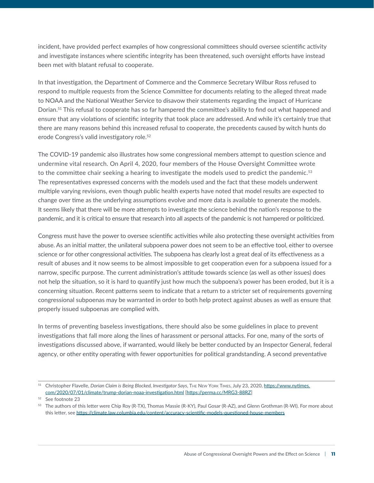incident, have provided perfect examples of how congressional committees should oversee scientific activity and investigate instances where scientific integrity has been threatened, such oversight efforts have instead been met with blatant refusal to cooperate.

In that investigation, the Department of Commerce and the Commerce Secretary Wilbur Ross refused to respond to multiple requests from the Science Committee for documents relating to the alleged threat made to NOAA and the National Weather Service to disavow their statements regarding the impact of Hurricane Dorian.51 This refusal to cooperate has so far hampered the committee's ability to find out what happened and ensure that any violations of scientific integrity that took place are addressed. And while it's certainly true that there are many reasons behind this increased refusal to cooperate, the precedents caused by witch hunts do erode Congress's valid investigatory role.<sup>52</sup>

The COVID-19 pandemic also illustrates how some congressional members attempt to question science and undermine vital research. On April 4, 2020, four members of the House Oversight Committee wrote to the committee chair seeking a hearing to investigate the models used to predict the pandemic.<sup>53</sup> The representatives expressed concerns with the models used and the fact that these models underwent multiple varying revisions, even though public health experts have noted that model results are expected to change over time as the underlying assumptions evolve and more data is available to generate the models. It seems likely that there will be more attempts to investigate the science behind the nation's response to the pandemic, and it is critical to ensure that research into all aspects of the pandemic is not hampered or politicized.

Congress must have the power to oversee scientific activities while also protecting these oversight activities from abuse. As an initial matter, the unilateral subpoena power does not seem to be an effective tool, either to oversee science or for other congressional activities. The subpoena has clearly lost a great deal of its effectiveness as a result of abuses and it now seems to be almost impossible to get cooperation even for a subpoena issued for a narrow, specific purpose. The current administration's attitude towards science (as well as other issues) does not help the situation, so it is hard to quantify just how much the subpoena's power has been eroded, but it is a concerning situation. Recent patterns seem to indicate that a return to a stricter set of requirements governing congressional subpoenas may be warranted in order to both help protect against abuses as well as ensure that properly issued subpoenas are complied with.

In terms of preventing baseless investigations, there should also be some guidelines in place to prevent investigations that fall more along the lines of harassment or personal attacks. For one, many of the sorts of investigations discussed above, if warranted, would likely be better conducted by an Inspector General, federal agency, or other entity operating with fewer opportunities for political grandstanding. A second preventative

<sup>51</sup> Christopher Flavelle, *Dorian Claim is Being Blocked, Investigator Says*, THE NEW YORK TIMES, July 23, 2020, [https://www.nytimes.](https://www.nytimes.com/2020/07/01/climate/trump-dorian-noaa-investigation.html) [com/2020/07/01/climate/trump-dorian-noaa-investigation.html](https://www.nytimes.com/2020/07/01/climate/trump-dorian-noaa-investigation.html) [<https://perma.cc/MRG3-88RZ>]

<sup>52</sup> See footnote 23

<sup>53</sup> The authors of this letter were Chip Roy (R-TX), Thomas Massie (R-KY), Paul Gosar (R-AZ), and Glenn Grothman (R-WI). For more about this letter, see<https://climate.law.columbia.edu/content/accuracy-scientific-models-questioned-house-members>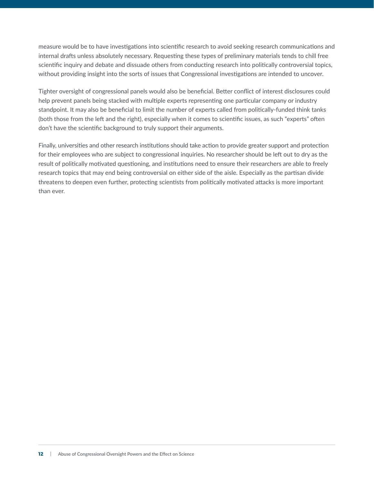measure would be to have investigations into scientific research to avoid seeking research communications and internal drafts unless absolutely necessary. Requesting these types of preliminary materials tends to chill free scientific inquiry and debate and dissuade others from conducting research into politically controversial topics, without providing insight into the sorts of issues that Congressional investigations are intended to uncover.

Tighter oversight of congressional panels would also be beneficial. Better conflict of interest disclosures could help prevent panels being stacked with multiple experts representing one particular company or industry standpoint. It may also be beneficial to limit the number of experts called from politically-funded think tanks (both those from the left and the right), especially when it comes to scientific issues, as such "experts" often don't have the scientific background to truly support their arguments.

Finally, universities and other research institutions should take action to provide greater support and protection for their employees who are subject to congressional inquiries. No researcher should be left out to dry as the result of politically motivated questioning, and institutions need to ensure their researchers are able to freely research topics that may end being controversial on either side of the aisle. Especially as the partisan divide threatens to deepen even further, protecting scientists from politically motivated attacks is more important than ever.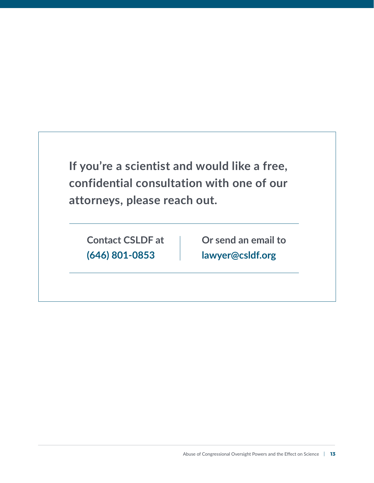**If you're a scientist and would like a free, confidential consultation with one of our attorneys, please reach out.**

**Contact CSLDF at (646) 801-0853**

**Or send an email to [lawyer@csldf.org](mailto:lawyer%40csldf.org?subject=)**